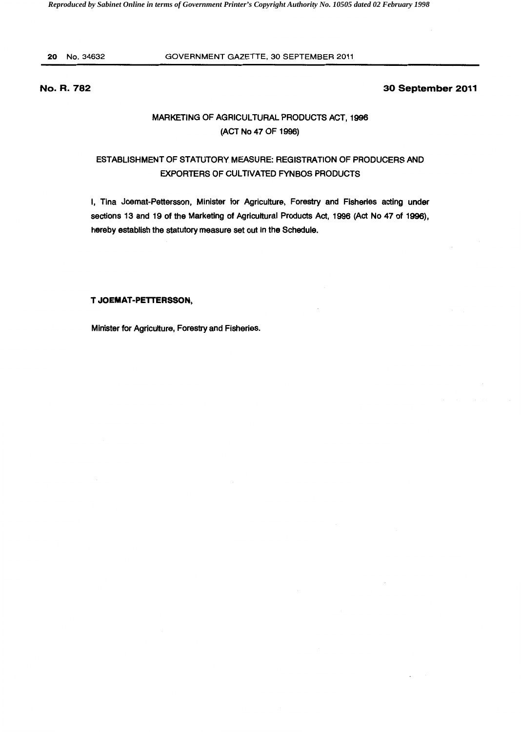20 No.34632 GOVERNMENT GAZETTE, 30 SEPTEMBER 2011

# No. R. 782

## 30 September 2011

# MARKETING OF AGRICULTURAL PRODUCTS ACT, 1996 (ACT No 47 OF 1996)

# ESTABLISHMENT OF STATUTORY MEASURE: REGISTRATION OF PRODUCERS AND EXPORTERS OF CULTIVATED FYNBOS PRODUCTS

I, Tina Joemat-Pettersson, Minister for Agriculture, Forestry and Fisheries acting under sections 13 and 19 of the Marketing of Agricultural Products Act, 1996 (Act No 47 of 1996), hereby establish the statutory measure set out in the Schedule.

### T JOEMAT-PETTERSSON,

Minister for Agriculture, Forestry and Fisheries.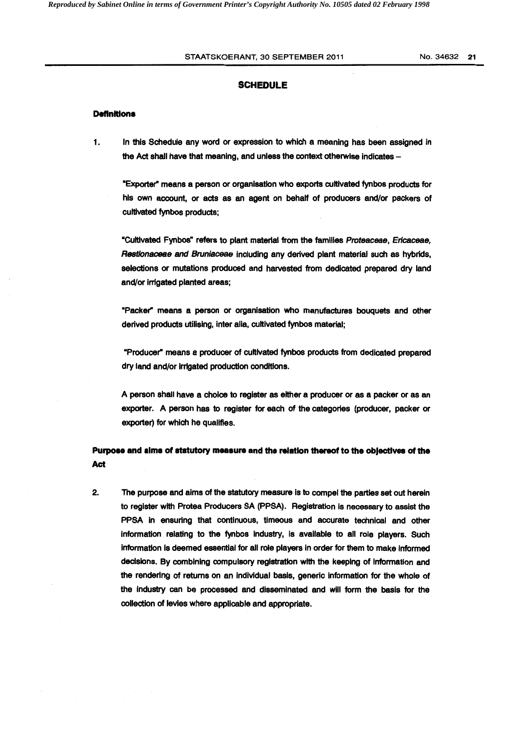### STAATSKOERANT, 30 SEPTEMBER 2011 No. 34632 21

## **SCHEDULE**

### **Definitions**

1. In this Schedule any word or expression to which a meaning has been assigned in the Act shall have that meaning, and unless the context otherwise indicates -

"Exporter" means a person or organisation who exports cultivated fynbos products for his own account, or acts as an agent on behalf of producers and/or packers of cultivated fynbos products;

•cultivated Fynbos" refers to plant material from the families Proteaceae, Ericaceae, Restionaceae and Bruniaceae including any derived plant material such as hybrids, selections or mutations produced and harvested from dedicated prepared dry land and/or irrigated planted areas;

•packer" means a person or organisation who manufactures bouquets and other derived products utilising, inter alia, cultivated fynbos material;

"Producer" means a producer of cultivated fynbos products from dedicated prepared dry land and/or Irrigated production conditions.

A person shall have a choice to register as either a producer or as a packer or as an exporter. A person has to register for each of the categories (producer, packer or exporter) for which he qualifies.

# Purpose and alms of statutory measure and the relation thereof to the obJectives of the Act

2. The purpose and aims of the statutory measure is to compel the parties set out herein to register with Protea Producers SA (PPSA). Registration is necessary to assist the PPSA In ensuring that continuous, timeous and accurate technical and other information relating to the fynbos Industry, is available to all role players. Such Information Is deemed essential for all role players in order for them to make informed decisions. By combining compulsory registration with the keeping of Information and the rendering of returns on an Individual basis, generic Information for the whole of the industry can be processed and disseminated and will form the basis for the collection of levies where applicable and appropriate.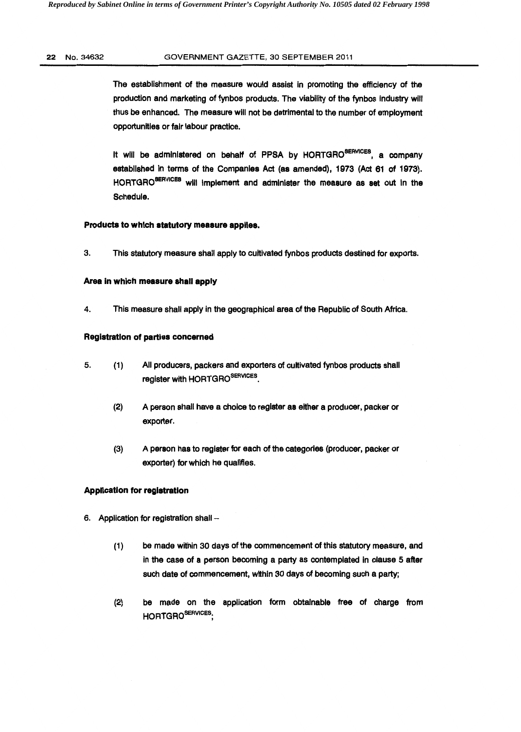### 22 No.34632 GOVERNMENT GAZETTE, 30 SEPTEMBER 2011

The establishment of the measure would assist in promoting the efficiency of the production and marketing of fynbos products. The viability of the fynbos industry will thus be enhanced. The measure will not be detrimental to the number of employment opportunities or fair labour practice.

It will be administered on behalf of PPSA by HORTGRO<sup>SERVICES</sup>, a company established in terms of the Companies Act (as amended), 1973 (Act 61 of 1973). HORTGRO<sup>SERVICES</sup> will implement and administer the measure as set out in the Schedule.

### Products to which statutory measure applies.

3. This statutory measure shall apply to cultivated fynbos products destined for exports.

### Area in which measure shall apply

4. This measure shall apply in the geographical area of the Republic of South Africa.

## Registration of parties concerned

- 5. (1) All producers, packers and exporters of cultivated fynbos products shall register with HORTGROSERVICES.
	- (2) A person shall have a choice to register as either a producer, packer or exporter.
	- (3) A person has to register for each of the categories (producer, packer or exporter) for which he qualifies.

### Application for registration

- 6. Application for registration shall -
	- (1) be made within 30 days of the commencement of this statutory measure, and in the case of a person becoming a party as contemplated in clause 5 after such date of commencement, within 30 days of becoming such a party;
	- (2) be made on the application form obtainable free of charge from HORTGRO<sup>SERVICES</sup>.